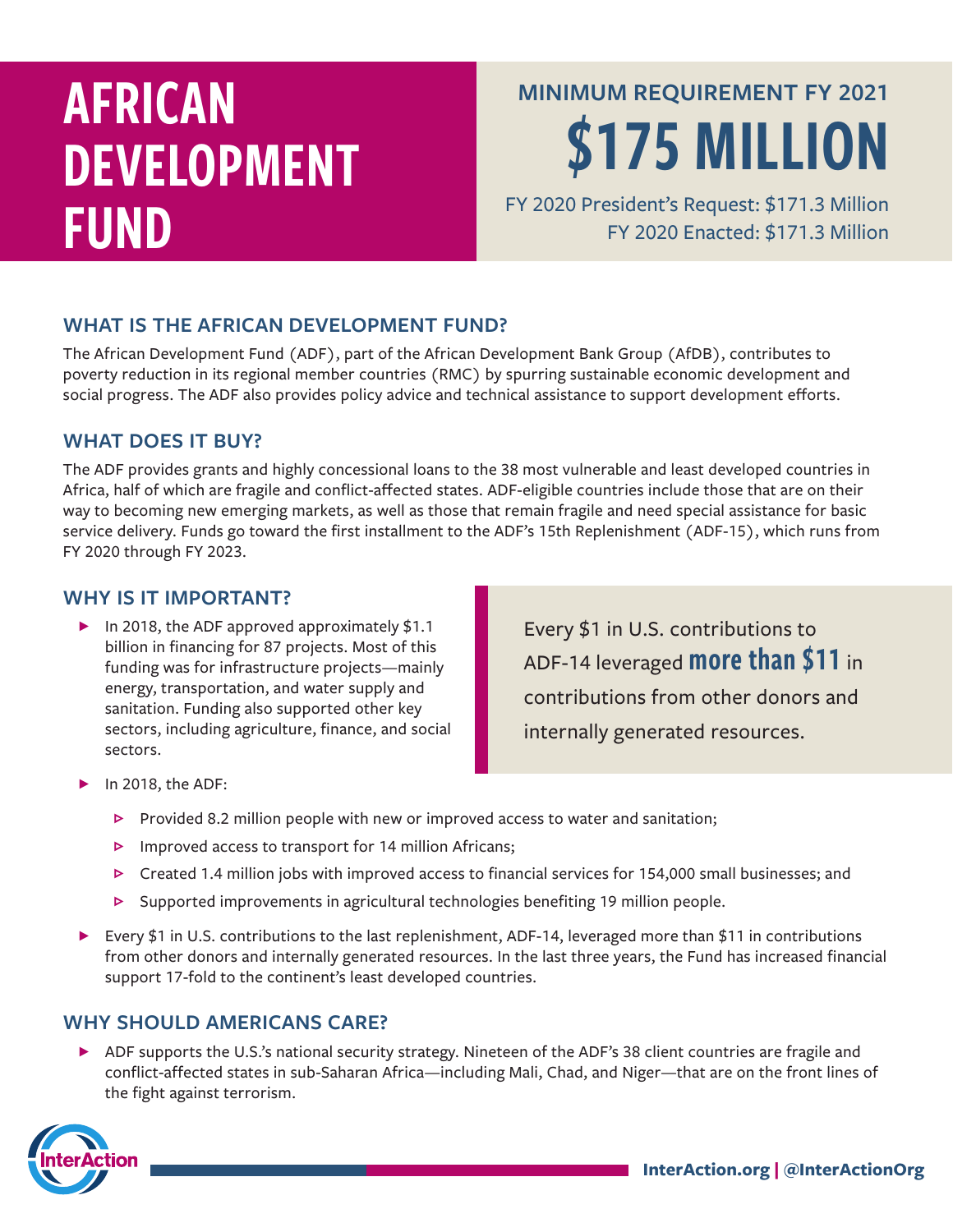# AFRICAN DEVELOPMENT FUND

## **MINIMUM REQUIREMENT FY 2021** \$175 MILLION

FY 2020 President's Request: \$171.3 Million FY 2020 Enacted: \$171.3 Million

## **WHAT IS THE AFRICAN DEVELOPMENT FUND?**

The African Development Fund (ADF), part of the African Development Bank Group (AfDB), contributes to poverty reduction in its regional member countries (RMC) by spurring sustainable economic development and social progress. The ADF also provides policy advice and technical assistance to support development efforts.

## **WHAT DOES IT BUY?**

The ADF provides grants and highly concessional loans to the 38 most vulnerable and least developed countries in Africa, half of which are fragile and conflict-affected states. ADF-eligible countries include those that are on their way to becoming new emerging markets, as well as those that remain fragile and need special assistance for basic service delivery. Funds go toward the first installment to the ADF's 15th Replenishment (ADF-15), which runs from FY 2020 through FY 2023.

### **WHY IS IT IMPORTANT?**

In 2018, the ADF approved approximately  $$1.1$ billion in financing for 87 projects. Most of this funding was for infrastructure projects—mainly energy, transportation, and water supply and sanitation. Funding also supported other key sectors, including agriculture, finance, and social sectors.

Every \$1 in U.S. contributions to ADF-14 leveraged more than \$11 in contributions from other donors and internally generated resources.

- ɖ In 2018, the ADF:
	- $\triangleright$  Provided 8.2 million people with new or improved access to water and sanitation;
	- $\triangleright$  Improved access to transport for 14 million Africans;
	- $\triangleright$  Created 1.4 million jobs with improved access to financial services for 154,000 small businesses; and
	- $\triangleright$  Supported improvements in agricultural technologies benefiting 19 million people.
- ▶ Every \$1 in U.S. contributions to the last replenishment, ADF-14, leveraged more than \$11 in contributions from other donors and internally generated resources. In the last three years, the Fund has increased financial support 17-fold to the continent's least developed countries.

## **WHY SHOULD AMERICANS CARE?**

▶ ADF supports the U.S.'s national security strategy. Nineteen of the ADF's 38 client countries are fragile and conflict-affected states in sub-Saharan Africa—including Mali, Chad, and Niger—that are on the front lines of the fight against terrorism.